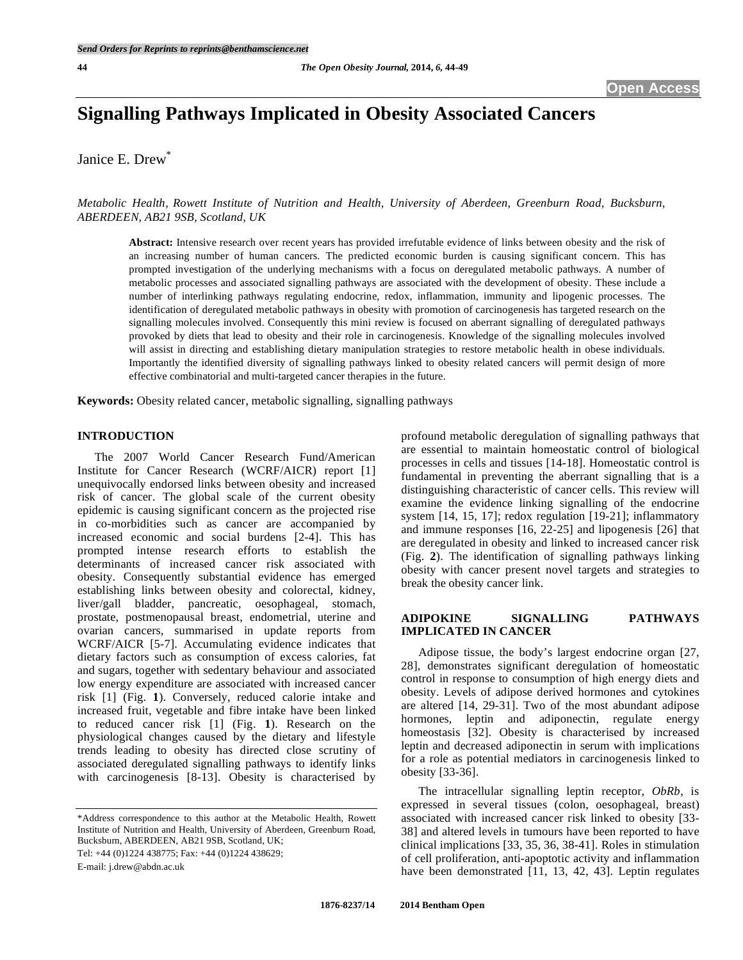# **Signalling Pathways Implicated in Obesity Associated Cancers**

Janice E. Drew\*

*Metabolic Health, Rowett Institute of Nutrition and Health, University of Aberdeen, Greenburn Road, Bucksburn, ABERDEEN, AB21 9SB, Scotland, UK* 

**Abstract:** Intensive research over recent years has provided irrefutable evidence of links between obesity and the risk of an increasing number of human cancers. The predicted economic burden is causing significant concern. This has prompted investigation of the underlying mechanisms with a focus on deregulated metabolic pathways. A number of metabolic processes and associated signalling pathways are associated with the development of obesity. These include a number of interlinking pathways regulating endocrine, redox, inflammation, immunity and lipogenic processes. The identification of deregulated metabolic pathways in obesity with promotion of carcinogenesis has targeted research on the signalling molecules involved. Consequently this mini review is focused on aberrant signalling of deregulated pathways provoked by diets that lead to obesity and their role in carcinogenesis. Knowledge of the signalling molecules involved will assist in directing and establishing dietary manipulation strategies to restore metabolic health in obese individuals. Importantly the identified diversity of signalling pathways linked to obesity related cancers will permit design of more effective combinatorial and multi-targeted cancer therapies in the future.

**Keywords:** Obesity related cancer, metabolic signalling, signalling pathways

# **INTRODUCTION**

 The 2007 World Cancer Research Fund/American Institute for Cancer Research (WCRF/AICR) report [1] unequivocally endorsed links between obesity and increased risk of cancer. The global scale of the current obesity epidemic is causing significant concern as the projected rise in co-morbidities such as cancer are accompanied by increased economic and social burdens [2-4]. This has prompted intense research efforts to establish the determinants of increased cancer risk associated with obesity. Consequently substantial evidence has emerged establishing links between obesity and colorectal, kidney, liver/gall bladder, pancreatic, oesophageal, stomach, prostate, postmenopausal breast, endometrial, uterine and ovarian cancers, summarised in update reports from WCRF/AICR [5-7]. Accumulating evidence indicates that dietary factors such as consumption of excess calories, fat and sugars, together with sedentary behaviour and associated low energy expenditure are associated with increased cancer risk [1] (Fig. **1**). Conversely, reduced calorie intake and increased fruit, vegetable and fibre intake have been linked to reduced cancer risk [1] (Fig. **1**). Research on the physiological changes caused by the dietary and lifestyle trends leading to obesity has directed close scrutiny of associated deregulated signalling pathways to identify links with carcinogenesis [8-13]. Obesity is characterised by

\*Address correspondence to this author at the Metabolic Health, Rowett Institute of Nutrition and Health, University of Aberdeen, Greenburn Road, Bucksburn, ABERDEEN, AB21 9SB, Scotland, UK;

Tel: +44 (0)1224 438775; Fax: +44 (0)1224 438629; E-mail: j.drew@abdn.ac.uk

profound metabolic deregulation of signalling pathways that are essential to maintain homeostatic control of biological processes in cells and tissues [14-18]. Homeostatic control is fundamental in preventing the aberrant signalling that is a distinguishing characteristic of cancer cells. This review will examine the evidence linking signalling of the endocrine system [14, 15, 17]; redox regulation [19-21]; inflammatory and immune responses [16, 22-25] and lipogenesis [26] that are deregulated in obesity and linked to increased cancer risk (Fig. **2**). The identification of signalling pathways linking obesity with cancer present novel targets and strategies to break the obesity cancer link.

### **ADIPOKINE SIGNALLING PATHWAYS IMPLICATED IN CANCER**

 Adipose tissue, the body's largest endocrine organ [27, 28], demonstrates significant deregulation of homeostatic control in response to consumption of high energy diets and obesity. Levels of adipose derived hormones and cytokines are altered [14, 29-31]. Two of the most abundant adipose hormones, leptin and adiponectin, regulate energy homeostasis [32]. Obesity is characterised by increased leptin and decreased adiponectin in serum with implications for a role as potential mediators in carcinogenesis linked to obesity [33-36].

 The intracellular signalling leptin receptor, *ObRb*, is expressed in several tissues (colon, oesophageal, breast) associated with increased cancer risk linked to obesity [33- 38] and altered levels in tumours have been reported to have clinical implications [33, 35, 36, 38-41]. Roles in stimulation of cell proliferation, anti-apoptotic activity and inflammation have been demonstrated [11, 13, 42, 43]. Leptin regulates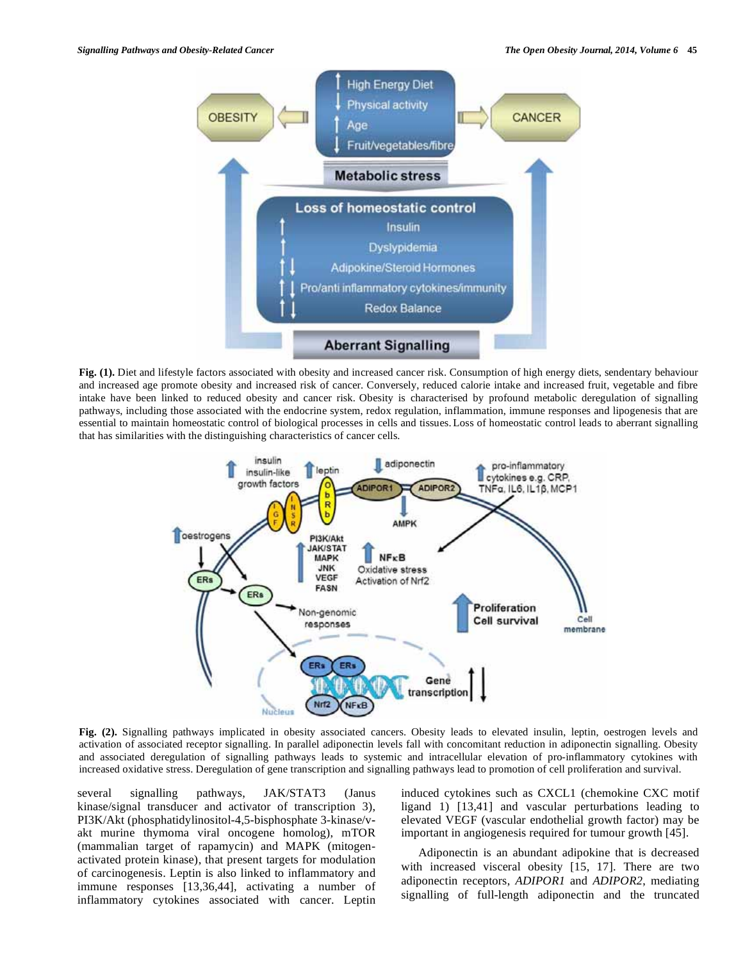

**Fig. (1).** Diet and lifestyle factors associated with obesity and increased cancer risk. Consumption of high energy diets, sendentary behaviour and increased age promote obesity and increased risk of cancer. Conversely, reduced calorie intake and increased fruit, vegetable and fibre intake have been linked to reduced obesity and cancer risk. Obesity is characterised by profound metabolic deregulation of signalling pathways, including those associated with the endocrine system, redox regulation, inflammation, immune responses and lipogenesis that are essential to maintain homeostatic control of biological processes in cells and tissues.Loss of homeostatic control leads to aberrant signalling that has similarities with the distinguishing characteristics of cancer cells.



**Fig. (2).** Signalling pathways implicated in obesity associated cancers. Obesity leads to elevated insulin, leptin, oestrogen levels and activation of associated receptor signalling. In parallel adiponectin levels fall with concomitant reduction in adiponectin signalling. Obesity and associated deregulation of signalling pathways leads to systemic and intracellular elevation of pro-inflammatory cytokines with increased oxidative stress. Deregulation of gene transcription and signalling pathways lead to promotion of cell proliferation and survival.

several signalling pathways, JAK/STAT3 (Janus kinase/signal transducer and activator of transcription 3), PI3K/Akt (phosphatidylinositol-4,5-bisphosphate 3-kinase/vakt murine thymoma viral oncogene homolog), mTOR (mammalian target of rapamycin) and MAPK (mitogenactivated protein kinase), that present targets for modulation of carcinogenesis. Leptin is also linked to inflammatory and immune responses [13,36,44], activating a number of inflammatory cytokines associated with cancer. Leptin

induced cytokines such as CXCL1 (chemokine CXC motif ligand 1) [13,41] and vascular perturbations leading to elevated VEGF (vascular endothelial growth factor) may be important in angiogenesis required for tumour growth [45].

 Adiponectin is an abundant adipokine that is decreased with increased visceral obesity [15, 17]. There are two adiponectin receptors, *ADIPOR1* and *ADIPOR2*, mediating signalling of full-length adiponectin and the truncated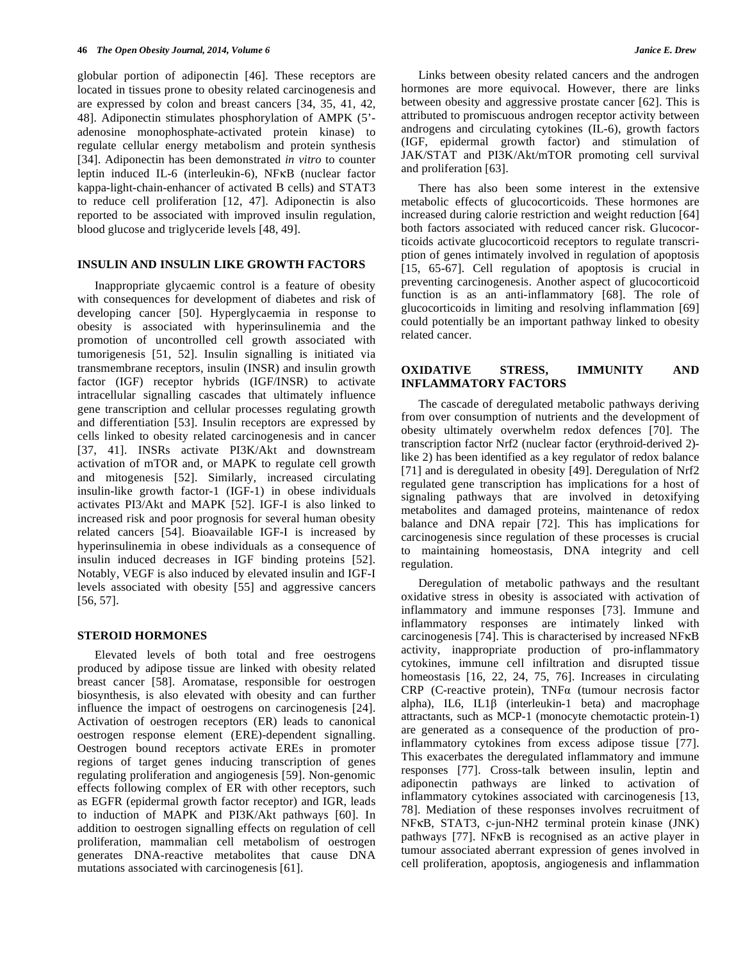globular portion of adiponectin [46]. These receptors are located in tissues prone to obesity related carcinogenesis and are expressed by colon and breast cancers [34, 35, 41, 42, 48]. Adiponectin stimulates phosphorylation of AMPK (5' adenosine monophosphate-activated protein kinase) to regulate cellular energy metabolism and protein synthesis [34]. Adiponectin has been demonstrated *in vitro* to counter leptin induced IL-6 (interleukin-6), NFKB (nuclear factor kappa-light-chain-enhancer of activated B cells) and STAT3 to reduce cell proliferation [12, 47]. Adiponectin is also reported to be associated with improved insulin regulation, blood glucose and triglyceride levels [48, 49].

#### **INSULIN AND INSULIN LIKE GROWTH FACTORS**

 Inappropriate glycaemic control is a feature of obesity with consequences for development of diabetes and risk of developing cancer [50]. Hyperglycaemia in response to obesity is associated with hyperinsulinemia and the promotion of uncontrolled cell growth associated with tumorigenesis [51, 52]. Insulin signalling is initiated via transmembrane receptors, insulin (INSR) and insulin growth factor (IGF) receptor hybrids (IGF/INSR) to activate intracellular signalling cascades that ultimately influence gene transcription and cellular processes regulating growth and differentiation [53]. Insulin receptors are expressed by cells linked to obesity related carcinogenesis and in cancer [37, 41]. INSRs activate PI3K/Akt and downstream activation of mTOR and, or MAPK to regulate cell growth and mitogenesis [52]. Similarly, increased circulating insulin-like growth factor-1 (IGF-1) in obese individuals activates PI3/Akt and MAPK [52]. IGF-I is also linked to increased risk and poor prognosis for several human obesity related cancers [54]. Bioavailable IGF-I is increased by hyperinsulinemia in obese individuals as a consequence of insulin induced decreases in IGF binding proteins [52]. Notably, VEGF is also induced by elevated insulin and IGF-I levels associated with obesity [55] and aggressive cancers [56, 57].

#### **STEROID HORMONES**

 Elevated levels of both total and free oestrogens produced by adipose tissue are linked with obesity related breast cancer [58]. Aromatase, responsible for oestrogen biosynthesis, is also elevated with obesity and can further influence the impact of oestrogens on carcinogenesis [24]. Activation of oestrogen receptors (ER) leads to canonical oestrogen response element (ERE)-dependent signalling. Oestrogen bound receptors activate EREs in promoter regions of target genes inducing transcription of genes regulating proliferation and angiogenesis [59]. Non-genomic effects following complex of ER with other receptors, such as EGFR (epidermal growth factor receptor) and IGR, leads to induction of MAPK and PI3K/Akt pathways [60]. In addition to oestrogen signalling effects on regulation of cell proliferation, mammalian cell metabolism of oestrogen generates DNA-reactive metabolites that cause DNA mutations associated with carcinogenesis [61].

 Links between obesity related cancers and the androgen hormones are more equivocal. However, there are links between obesity and aggressive prostate cancer [62]. This is attributed to promiscuous androgen receptor activity between androgens and circulating cytokines (IL-6), growth factors (IGF, epidermal growth factor) and stimulation of JAK/STAT and PI3K/Akt/mTOR promoting cell survival and proliferation [63].

 There has also been some interest in the extensive metabolic effects of glucocorticoids. These hormones are increased during calorie restriction and weight reduction [64] both factors associated with reduced cancer risk. Glucocorticoids activate glucocorticoid receptors to regulate transcription of genes intimately involved in regulation of apoptosis [15, 65-67]. Cell regulation of apoptosis is crucial in preventing carcinogenesis. Another aspect of glucocorticoid function is as an anti-inflammatory [68]. The role of glucocorticoids in limiting and resolving inflammation [69] could potentially be an important pathway linked to obesity related cancer.

# **OXIDATIVE STRESS, IMMUNITY AND INFLAMMATORY FACTORS**

 The cascade of deregulated metabolic pathways deriving from over consumption of nutrients and the development of obesity ultimately overwhelm redox defences [70]. The transcription factor Nrf2 (nuclear factor (erythroid-derived 2) like 2) has been identified as a key regulator of redox balance [71] and is deregulated in obesity [49]. Deregulation of Nrf2 regulated gene transcription has implications for a host of signaling pathways that are involved in detoxifying metabolites and damaged proteins, maintenance of redox balance and DNA repair [72]. This has implications for carcinogenesis since regulation of these processes is crucial to maintaining homeostasis, DNA integrity and cell regulation.

 Deregulation of metabolic pathways and the resultant oxidative stress in obesity is associated with activation of inflammatory and immune responses [73]. Immune and inflammatory responses are intimately linked with carcinogenesis [74]. This is characterised by increased NFKB activity, inappropriate production of pro-inflammatory cytokines, immune cell infiltration and disrupted tissue homeostasis [16, 22, 24, 75, 76]. Increases in circulating  $CRP$  (C-reactive protein),  $TNF\alpha$  (tumour necrosis factor alpha), IL6, IL1 $\beta$  (interleukin-1 beta) and macrophage attractants, such as MCP-1 (monocyte chemotactic protein-1) are generated as a consequence of the production of proinflammatory cytokines from excess adipose tissue [77]. This exacerbates the deregulated inflammatory and immune responses [77]. Cross-talk between insulin, leptin and adiponectin pathways are linked to activation of inflammatory cytokines associated with carcinogenesis [13, 78]. Mediation of these responses involves recruitment of NFKB, STAT3, c-jun-NH2 terminal protein kinase (JNK) pathways [77]. NFKB is recognised as an active player in tumour associated aberrant expression of genes involved in cell proliferation, apoptosis, angiogenesis and inflammation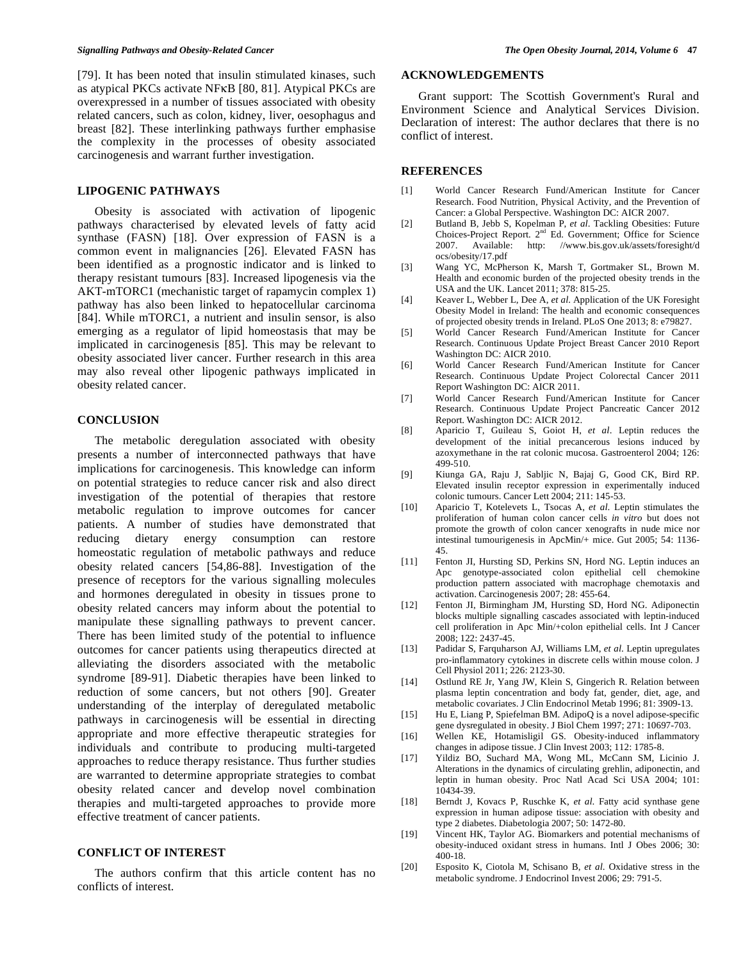[79]. It has been noted that insulin stimulated kinases, such as atypical PKCs activate NFKB [80, 81]. Atypical PKCs are overexpressed in a number of tissues associated with obesity related cancers, such as colon, kidney, liver, oesophagus and breast [82]. These interlinking pathways further emphasise the complexity in the processes of obesity associated carcinogenesis and warrant further investigation.

#### **LIPOGENIC PATHWAYS**

 Obesity is associated with activation of lipogenic pathways characterised by elevated levels of fatty acid synthase (FASN) [18]. Over expression of FASN is a common event in malignancies [26]. Elevated FASN has been identified as a prognostic indicator and is linked to therapy resistant tumours [83]. Increased lipogenesis via the AKT-mTORC1 (mechanistic target of rapamycin complex 1) pathway has also been linked to hepatocellular carcinoma [84]. While mTORC1, a nutrient and insulin sensor, is also emerging as a regulator of lipid homeostasis that may be implicated in carcinogenesis [85]. This may be relevant to obesity associated liver cancer. Further research in this area may also reveal other lipogenic pathways implicated in obesity related cancer.

# **CONCLUSION**

 The metabolic deregulation associated with obesity presents a number of interconnected pathways that have implications for carcinogenesis. This knowledge can inform on potential strategies to reduce cancer risk and also direct investigation of the potential of therapies that restore metabolic regulation to improve outcomes for cancer patients. A number of studies have demonstrated that reducing dietary energy consumption can restore homeostatic regulation of metabolic pathways and reduce obesity related cancers [54,86-88]. Investigation of the presence of receptors for the various signalling molecules and hormones deregulated in obesity in tissues prone to obesity related cancers may inform about the potential to manipulate these signalling pathways to prevent cancer. There has been limited study of the potential to influence outcomes for cancer patients using therapeutics directed at alleviating the disorders associated with the metabolic syndrome [89-91]. Diabetic therapies have been linked to reduction of some cancers, but not others [90]. Greater understanding of the interplay of deregulated metabolic pathways in carcinogenesis will be essential in directing appropriate and more effective therapeutic strategies for individuals and contribute to producing multi-targeted approaches to reduce therapy resistance. Thus further studies are warranted to determine appropriate strategies to combat obesity related cancer and develop novel combination therapies and multi-targeted approaches to provide more effective treatment of cancer patients.

# **CONFLICT OF INTEREST**

 The authors confirm that this article content has no conflicts of interest.

# **ACKNOWLEDGEMENTS**

 Grant support: The Scottish Government's Rural and Environment Science and Analytical Services Division. Declaration of interest: The author declares that there is no conflict of interest.

#### **REFERENCES**

- [1] World Cancer Research Fund/American Institute for Cancer Research. Food Nutrition, Physical Activity, and the Prevention of Cancer: a Global Perspective. Washington DC: AICR 2007.
- [2] Butland B, Jebb S, Kopelman P, *et al*. Tackling Obesities: Future Choices-Project Report. 2nd Ed. Government; Office for Science 2007. Available: http: //www.bis.gov.uk/assets/foresight/d ocs/obesity/17.pdf
- [3] Wang YC, McPherson K, Marsh T, Gortmaker SL, Brown M. Health and economic burden of the projected obesity trends in the USA and the UK. Lancet 2011; 378: 815-25.
- [4] Keaver L, Webber L, Dee A, *et al*. Application of the UK Foresight Obesity Model in Ireland: The health and economic consequences of projected obesity trends in Ireland. PLoS One 2013; 8: e79827.
- [5] World Cancer Research Fund/American Institute for Cancer Research. Continuous Update Project Breast Cancer 2010 Report Washington DC: AICR 2010.
- [6] World Cancer Research Fund/American Institute for Cancer Research. Continuous Update Project Colorectal Cancer 2011 Report Washington DC: AICR 2011.
- [7] World Cancer Research Fund/American Institute for Cancer Research. Continuous Update Project Pancreatic Cancer 2012 Report. Washington DC: AICR 2012.
- [8] Aparicio T, Guileau S, Goiot H, *et al*. Leptin reduces the development of the initial precancerous lesions induced by azoxymethane in the rat colonic mucosa. Gastroenterol 2004; 126: 499-510.
- [9] Kiunga GA, Raju J, Sabljic N, Bajaj G, Good CK, Bird RP. Elevated insulin receptor expression in experimentally induced colonic tumours. Cancer Lett 2004; 211: 145-53.
- [10] Aparicio T, Kotelevets L, Tsocas A, *et al*. Leptin stimulates the proliferation of human colon cancer cells *in vitro* but does not promote the growth of colon cancer xenografts in nude mice nor intestinal tumourigenesis in ApcMin/+ mice. Gut 2005; 54: 1136- 45.
- [11] Fenton JI, Hursting SD, Perkins SN, Hord NG. Leptin induces an Apc genotype-associated colon epithelial cell chemokine production pattern associated with macrophage chemotaxis and activation. Carcinogenesis 2007; 28: 455-64.
- [12] Fenton JI, Birmingham JM, Hursting SD, Hord NG. Adiponectin blocks multiple signalling cascades associated with leptin-induced cell proliferation in Apc Min/+colon epithelial cells. Int J Cancer  $2008 \cdot 122 \cdot 2437 - 45$
- [13] Padidar S, Farquharson AJ, Williams LM, *et al*. Leptin upregulates pro-inflammatory cytokines in discrete cells within mouse colon. J Cell Physiol 2011; 226: 2123-30.
- [14] Ostlund RE Jr, Yang JW, Klein S, Gingerich R. Relation between plasma leptin concentration and body fat, gender, diet, age, and metabolic covariates. J Clin Endocrinol Metab 1996; 81: 3909-13.
- [15] Hu E, Liang P, Spiefelman BM. AdipoQ is a novel adipose-specific gene dysregulated in obesity. J Biol Chem 1997; 271: 10697-703.
- [16] Wellen KE, Hotamisligil GS. Obesity-induced inflammatory changes in adipose tissue. J Clin Invest 2003; 112: 1785-8.
- [17] Yildiz BO, Suchard MA, Wong ML, McCann SM, Licinio J. Alterations in the dynamics of circulating grehlin, adiponectin, and leptin in human obesity. Proc Natl Acad Sci USA 2004; 101: 10434-39.
- [18] Berndt J, Kovacs P, Ruschke K, *et al*. Fatty acid synthase gene expression in human adipose tissue: association with obesity and type 2 diabetes. Diabetologia 2007; 50: 1472-80.
- [19] Vincent HK, Taylor AG. Biomarkers and potential mechanisms of obesity-induced oxidant stress in humans. Intl J Obes 2006; 30: 400*-*18.
- [20] Esposito K, Ciotola M, Schisano B, *et al*. Oxidative stress in the metabolic syndrome. J Endocrinol Invest 2006; 29: 791-5.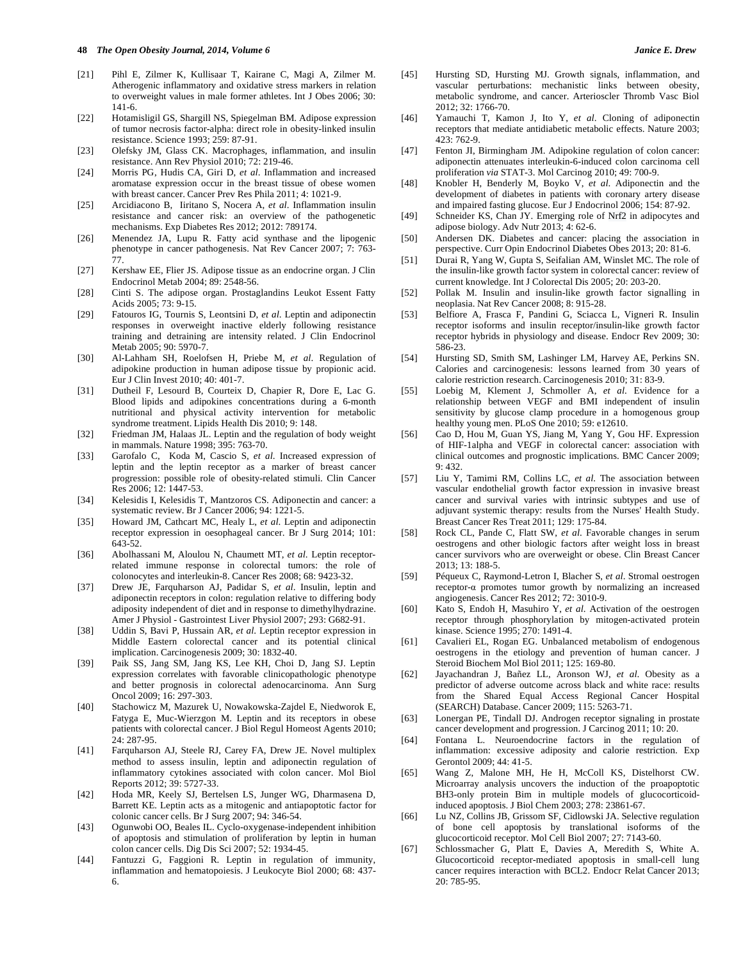- [21] Pihl E, Zilmer K, Kullisaar T, Kairane C, Magi A, Zilmer M. Atherogenic inflammatory and oxidative stress markers in relation to overweight values in male former athletes. Int J Obes 2006; 30: 141*-*6.
- [22] Hotamisligil GS, Shargill NS, Spiegelman BM. Adipose expression of tumor necrosis factor-alpha: direct role in obesity-linked insulin resistance. Science 1993; 259: 87-91.
- [23] Olefsky JM, Glass CK. Macrophages, inflammation, and insulin resistance. Ann Rev Physiol 2010; 72: 219-46.
- [24] Morris PG, Hudis CA, Giri D, *et al*. Inflammation and increased aromatase expression occur in the breast tissue of obese women with breast cancer. Cancer Prev Res Phila 2011; 4: 1021-9.
- [25] Arcidiacono B, Iiritano S, Nocera A, *et al*. Inflammation insulin resistance and cancer risk: an overview of the pathogenetic mechanisms. Exp Diabetes Res 2012; 2012: 789174.
- [26] Menendez JA, Lupu R. Fatty acid synthase and the lipogenic phenotype in cancer pathogenesis. Nat Rev Cancer 2007; 7: 763*-* 77.
- [27] Kershaw EE, Flier JS. Adipose tissue as an endocrine organ. J Clin Endocrinol Metab 2004; 89: 2548-56.
- [28] Cinti S. The adipose organ. Prostaglandins Leukot Essent Fatty Acids 2005; 73: 9-15.
- [29] Fatouros IG, Tournis S, Leontsini D, *et al*. Leptin and adiponectin responses in overweight inactive elderly following resistance training and detraining are intensity related. J Clin Endocrinol Metab 2005; 90: 5970-7.
- [30] Al-Lahham SH, Roelofsen H, Priebe M, *et al*. Regulation of adipokine production in human adipose tissue by propionic acid. Eur J Clin Invest 2010; 40: 401-7.
- [31] Dutheil F, Lesourd B, Courteix D, Chapier R, Dore E, Lac G. Blood lipids and adipokines concentrations during a 6-month nutritional and physical activity intervention for metabolic syndrome treatment. Lipids Health Dis 2010; 9: 148.
- [32] Friedman JM, Halaas JL. Leptin and the regulation of body weight in mammals. Nature 1998; 395: 763*-*70.
- [33] Garofalo C, Koda M, Cascio S, *et al*. Increased expression of leptin and the leptin receptor as a marker of breast cancer progression: possible role of obesity-related stimuli. Clin Cancer Res 2006; 12: 1447-53.
- [34] Kelesidis I, Kelesidis T, Mantzoros CS. Adiponectin and cancer: a systematic review. Br J Cancer 2006; 94: 1221*-*5.
- [35] Howard JM, Cathcart MC, Healy L, *et al*. Leptin and adiponectin receptor expression in oesophageal cancer. Br J Surg 2014; 101: 643-52.
- [36] Abolhassani M, Aloulou N, Chaumett MT, *et al*. Leptin receptorrelated immune response in colorectal tumors: the role of colonocytes and interleukin-8. Cancer Res 2008; 68: 9423-32.
- [37] Drew JE, Farquharson AJ, Padidar S, *et al*. Insulin, leptin and adiponectin receptors in colon: regulation relative to differing body adiposity independent of diet and in response to dimethylhydrazine. Amer J Physiol *-* Gastrointest Liver Physiol 2007; 293: G682-91.
- [38] Uddin S, Bavi P, Hussain AR, *et al*. Leptin receptor expression in Middle Eastern colorectal cancer and its potential clinical implication. Carcinogenesis 2009; 30: 1832-40.
- [39] Paik SS, Jang SM, Jang KS, Lee KH, Choi D, Jang SJ. Leptin expression correlates with favorable clinicopathologic phenotype and better prognosis in colorectal adenocarcinoma. Ann Surg Oncol 2009; 16: 297-303.
- [40] Stachowicz M, Mazurek U, Nowakowska-Zajdel E, Niedworok E, Fatyga E, Muc-Wierzgon M. Leptin and its receptors in obese patients with colorectal cancer. J Biol Regul Homeost Agents 2010; 24: 287-95.
- [41] Farquharson AJ, Steele RJ, Carey FA, Drew JE. Novel multiplex method to assess insulin, leptin and adiponectin regulation of inflammatory cytokines associated with colon cancer. Mol Biol Reports 2012; 39: 5727-33.
- [42] Hoda MR, Keely SJ, Bertelsen LS, Junger WG, Dharmasena D, Barrett KE. Leptin acts as a mitogenic and antiapoptotic factor for colonic cancer cells. Br J Surg 2007; 94: 346-54.
- [43] Ogunwobi OO, Beales IL. Cyclo-oxygenase-independent inhibition of apoptosis and stimulation of proliferation by leptin in human colon cancer cells. Dig Dis Sci 2007; 52: 1934-45.
- [44] Fantuzzi G, Faggioni R. Leptin in regulation of immunity, inflammation and hematopoiesis. J Leukocyte Biol 2000; 68: 437- 6.
- [45] Hursting SD, Hursting MJ. Growth signals, inflammation, and vascular perturbations: mechanistic links between obesity, metabolic syndrome, and cancer. Arterioscler Thromb Vasc Biol 2012; 32: 1766-70.
- [46] Yamauchi T, Kamon J, Ito Y, *et al*. Cloning of adiponectin receptors that mediate antidiabetic metabolic effects. Nature 2003: 423: 762*-*9.
- [47] Fenton JI, Birmingham JM. Adipokine regulation of colon cancer: adiponectin attenuates interleukin-6-induced colon carcinoma cell proliferation *via* STAT-3. Mol Carcinog 2010; 49: 700-9.
- [48] Knobler H, Benderly M, Boyko V, *et al*. Adiponectin and the development of diabetes in patients with coronary artery disease and impaired fasting glucose. Eur J Endocrinol 2006; 154: 87-92.
- [49] Schneider KS, Chan JY. Emerging role of Nrf2 in adipocytes and adipose biology. Adv Nutr 2013; 4: 62-6.
- [50] Andersen DK. Diabetes and cancer: placing the association in perspective. Curr Opin Endocrinol Diabetes Obes 2013; 20: 81-6.
- [51] Durai R, Yang W, Gupta S, Seifalian AM, Winslet MC. The role of the insulin-like growth factor system in colorectal cancer: review of current knowledge. Int J Colorectal Dis 2005; 20: 203-20.
- [52] Pollak M. Insulin and insulin-like growth factor signalling in neoplasia. Nat Rev Cancer 2008; 8: 915-28.
- [53] Belfiore A, Frasca F, Pandini G, Sciacca L, Vigneri R. Insulin receptor isoforms and insulin receptor/insulin-like growth factor receptor hybrids in physiology and disease. Endocr Rev 2009; 30: 586-23.
- [54] Hursting SD, Smith SM, Lashinger LM, Harvey AE, Perkins SN. Calories and carcinogenesis: lessons learned from 30 years of calorie restriction research. Carcinogenesis 2010; 31: 83-9.
- [55] Loebig M, Klement J, Schmoller A, *et al*. Evidence for a relationship between VEGF and BMI independent of insulin sensitivity by glucose clamp procedure in a homogenous group healthy young men. PLoS One 2010; 59: e12610.
- [56] Cao D, Hou M, Guan YS, Jiang M, Yang Y, Gou HF. Expression of HIF-1alpha and VEGF in colorectal cancer: association with clinical outcomes and prognostic implications. BMC Cancer 2009; 9: 432.
- [57] Liu Y, Tamimi RM, Collins LC, *et al*. The association between vascular endothelial growth factor expression in invasive breast cancer and survival varies with intrinsic subtypes and use of adjuvant systemic therapy: results from the Nurses' Health Study. Breast Cancer Res Treat 2011; 129: 175-84.
- [58] Rock CL, Pande C, Flatt SW, *et al*. Favorable changes in serum oestrogens and other biologic factors after weight loss in breast cancer survivors who are overweight or obese. Clin Breast Cancer 2013; 13: 188-5.
- [59] Péqueux C, Raymond-Letron I, Blacher S, *et al*. Stromal oestrogen  $receptor-\alpha$  promotes tumor growth by normalizing an increased angiogenesis. Cancer Res 2012; 72: 3010-9.
- [60] Kato S, Endoh H, Masuhiro Y, *et al*. Activation of the oestrogen receptor through phosphorylation by mitogen-activated protein kinase. Science 1995; 270: 1491*-*4.
- [61] Cavalieri EL, Rogan EG. Unbalanced metabolism of endogenous oestrogens in the etiology and prevention of human cancer. J Steroid Biochem Mol Biol 2011; 125: 169-80.
- [62] Jayachandran J, Bañez LL, Aronson WJ, *et al*. Obesity as a predictor of adverse outcome across black and white race: results from the Shared Equal Access Regional Cancer Hospital (SEARCH) Database. Cancer 2009; 115: 5263-71.
- [63] Lonergan PE, Tindall DJ. Androgen receptor signaling in prostate cancer development and progression. J Carcinog 2011; 10: 20.
- [64] Fontana L. Neuroendocrine factors in the regulation of inflammation: excessive adiposity and calorie restriction. Exp Gerontol 2009; 44: 41-5.
- [65] Wang Z, Malone MH, He H, McColl KS, Distelhorst CW. Microarray analysis uncovers the induction of the proapoptotic BH3-only protein Bim in multiple models of glucocorticoidinduced apoptosis. J Biol Chem 2003; 278: 23861*-*67.
- [66] Lu NZ, Collins JB, Grissom SF, Cidlowski JA. Selective regulation of bone cell apoptosis by translational isoforms of the glucocorticoid receptor. Mol Cell Biol 2007; 27: 7143*-*60.
- [67] Schlossmacher G, Platt E, Davies A, Meredith S, White A. Glucocorticoid receptor-mediated apoptosis in small-cell lung cancer requires interaction with BCL2. Endocr Relat Cancer 2013; 20: 785-95.